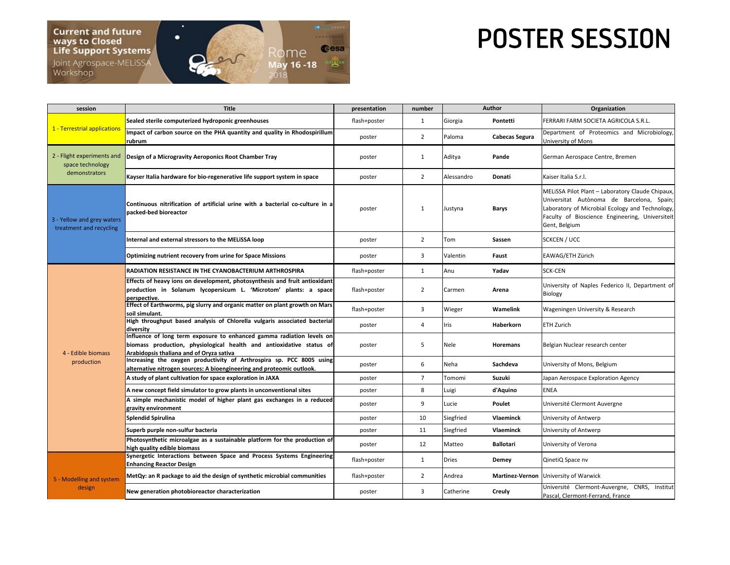

## POSTER SESSION

| session                                                         | <b>Title</b>                                                                                                                                                                              | presentation | number         | Author       |                        | <b>Organization</b>                                                                                                                                                                                                  |
|-----------------------------------------------------------------|-------------------------------------------------------------------------------------------------------------------------------------------------------------------------------------------|--------------|----------------|--------------|------------------------|----------------------------------------------------------------------------------------------------------------------------------------------------------------------------------------------------------------------|
| 1 - Terrestrial applications                                    | Sealed sterile computerized hydroponic greenhouses                                                                                                                                        | flash+poster | $\mathbf{1}$   | Giorgia      | Pontetti               | FERRARI FARM SOCIETA AGRICOLA S.R.L.                                                                                                                                                                                 |
|                                                                 | Impact of carbon source on the PHA quantity and quality in Rhodospirillum<br>rubrum                                                                                                       | poster       | $\overline{2}$ | Paloma       | Cabecas Segura         | Department of Proteomics and Microbiology,<br>University of Mons                                                                                                                                                     |
| 2 - Flight experiments and<br>space technology<br>demonstrators | Design of a Microgravity Aeroponics Root Chamber Tray                                                                                                                                     | poster       | 1              | Aditya       | Pande                  | German Aerospace Centre, Bremen                                                                                                                                                                                      |
|                                                                 | Kayser Italia hardware for bio-regenerative life support system in space                                                                                                                  | poster       | $\overline{2}$ | Alessandro   | Donati                 | Kaiser Italia S.r.l.                                                                                                                                                                                                 |
| 3 - Yellow and grey waters<br>treatment and recycling           | Continuous nitrification of artificial urine with a bacterial co-culture in a<br>packed-bed bioreactor                                                                                    | poster       | $\mathbf{1}$   | Justyna      | <b>Barys</b>           | MELISSA Pilot Plant - Laboratory Claude Chipaux,<br>Universitat Autònoma de Barcelona, Spain;<br>Laboratory of Microbial Ecology and Technology,<br>Faculty of Bioscience Engineering, Universiteit<br>Gent, Belgium |
|                                                                 | Internal and external stressors to the MELISSA loop                                                                                                                                       | poster       | $\overline{2}$ | Tom          | Sassen                 | <b>SCKCEN / UCC</b>                                                                                                                                                                                                  |
|                                                                 | Optimizing nutrient recovery from urine for Space Missions                                                                                                                                | poster       | 3              | Valentin     | Faust                  | EAWAG/ETH Zürich                                                                                                                                                                                                     |
| 4 - Edible biomass<br>production                                | <b>RADIATION RESISTANCE IN THE CYANOBACTERIUM ARTHROSPIRA</b>                                                                                                                             | flash+poster | $\mathbf{1}$   | Anu          | Yadav                  | <b>SCK-CEN</b>                                                                                                                                                                                                       |
|                                                                 | Effects of heavy ions on development, photosynthesis and fruit antioxidant<br>production in Solanum lycopersicum L. 'Microtom' plants: a space<br>perspective.                            | flash+poster | $\overline{2}$ | Carmen       | Arena                  | University of Naples Federico II, Department of<br>Biology                                                                                                                                                           |
|                                                                 | Effect of Earthworms, pig slurry and organic matter on plant growth on Mars<br>soil simulant.                                                                                             | flash+poster | 3              | Wieger       | Wamelink               | Wageningen University & Research                                                                                                                                                                                     |
|                                                                 | High throughput based analysis of Chlorella vulgaris associated bacterial<br>diversity                                                                                                    | poster       | $\overline{4}$ | Iris         | Haberkorn              | <b>ETH Zurich</b>                                                                                                                                                                                                    |
|                                                                 | Influence of long term exposure to enhanced gamma radiation levels on<br>biomass production, physiological health and antioxidative status of<br>Arabidopsis thaliana and of Oryza sativa | poster       | 5              | Nele         | Horemans               | Belgian Nuclear research center                                                                                                                                                                                      |
|                                                                 | Increasing the oxygen productivity of Arthrospira sp. PCC 8005 using<br>alternative nitrogen sources: A bioengineering and proteomic outlook.                                             | poster       | 6              | Neha         | Sachdeva               | University of Mons, Belgium                                                                                                                                                                                          |
|                                                                 | A study of plant cultivation for space exploration in JAXA                                                                                                                                | poster       | $\overline{7}$ | Tomomi       | Suzuki                 | Japan Aerospace Exploration Agency                                                                                                                                                                                   |
|                                                                 | A new concept field simulator to grow plants in unconventional sites                                                                                                                      | poster       | 8              | Luigi        | d'Aquino               | <b>ENEA</b>                                                                                                                                                                                                          |
|                                                                 | A simple mechanistic model of higher plant gas exchanges in a reduced<br>gravity environment                                                                                              | poster       | 9              | Lucie        | Poulet                 | Université Clermont Auvergne                                                                                                                                                                                         |
|                                                                 | <b>Splendid Spirulina</b>                                                                                                                                                                 | poster       | 10             | Siegfried    | Vlaeminck              | University of Antwerp                                                                                                                                                                                                |
|                                                                 | Superb purple non-sulfur bacteria                                                                                                                                                         | poster       | 11             | Siegfried    | <b>Vlaeminck</b>       | University of Antwerp                                                                                                                                                                                                |
|                                                                 | Photosynthetic microalgae as a sustainable platform for the production of<br>high quality edible biomass                                                                                  | poster       | 12             | Matteo       | <b>Ballotari</b>       | University of Verona                                                                                                                                                                                                 |
| 5 - Modelling and system<br>design                              | Synergetic Interactions between Space and Process Systems Engineering<br><b>Enhancing Reactor Design</b>                                                                                  | flash+poster | $\mathbf{1}$   | <b>Dries</b> | Demey                  | QinetiQ Space nv                                                                                                                                                                                                     |
|                                                                 | MetQy: an R package to aid the design of synthetic microbial communities                                                                                                                  | flash+poster | $\overline{2}$ | Andrea       | <b>Martinez-Vernon</b> | University of Warwick                                                                                                                                                                                                |
|                                                                 | New generation photobioreactor characterization                                                                                                                                           | poster       | 3              | Catherine    | Creuly                 | Université Clermont-Auvergne, CNRS, Institut<br>Pascal, Clermont-Ferrand, France                                                                                                                                     |